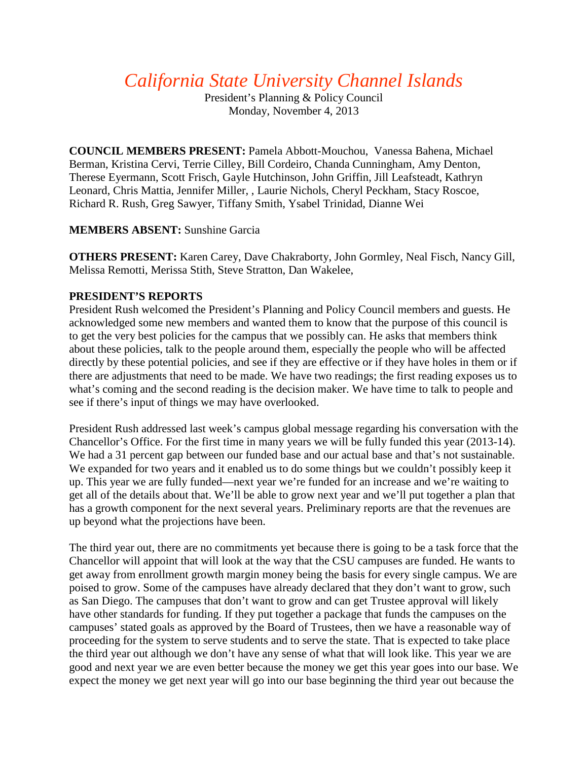*California State University Channel Islands*

President's Planning & Policy Council Monday, November 4, 2013

**COUNCIL MEMBERS PRESENT:** Pamela Abbott-Mouchou, Vanessa Bahena, Michael Berman, Kristina Cervi, Terrie Cilley, Bill Cordeiro, Chanda Cunningham, Amy Denton, Therese Eyermann, Scott Frisch, Gayle Hutchinson, John Griffin, Jill Leafsteadt, Kathryn Leonard, Chris Mattia, Jennifer Miller, , Laurie Nichols, Cheryl Peckham, Stacy Roscoe, Richard R. Rush, Greg Sawyer, Tiffany Smith, Ysabel Trinidad, Dianne Wei

## **MEMBERS ABSENT:** Sunshine Garcia

**OTHERS PRESENT:** Karen Carey, Dave Chakraborty, John Gormley, Neal Fisch, Nancy Gill, Melissa Remotti, Merissa Stith, Steve Stratton, Dan Wakelee,

# **PRESIDENT'S REPORTS**

President Rush welcomed the President's Planning and Policy Council members and guests. He acknowledged some new members and wanted them to know that the purpose of this council is to get the very best policies for the campus that we possibly can. He asks that members think about these policies, talk to the people around them, especially the people who will be affected directly by these potential policies, and see if they are effective or if they have holes in them or if there are adjustments that need to be made. We have two readings; the first reading exposes us to what's coming and the second reading is the decision maker. We have time to talk to people and see if there's input of things we may have overlooked.

President Rush addressed last week's campus global message regarding his conversation with the Chancellor's Office. For the first time in many years we will be fully funded this year (2013-14). We had a 31 percent gap between our funded base and our actual base and that's not sustainable. We expanded for two years and it enabled us to do some things but we couldn't possibly keep it up. This year we are fully funded—next year we're funded for an increase and we're waiting to get all of the details about that. We'll be able to grow next year and we'll put together a plan that has a growth component for the next several years. Preliminary reports are that the revenues are up beyond what the projections have been.

The third year out, there are no commitments yet because there is going to be a task force that the Chancellor will appoint that will look at the way that the CSU campuses are funded. He wants to get away from enrollment growth margin money being the basis for every single campus. We are poised to grow. Some of the campuses have already declared that they don't want to grow, such as San Diego. The campuses that don't want to grow and can get Trustee approval will likely have other standards for funding. If they put together a package that funds the campuses on the campuses' stated goals as approved by the Board of Trustees, then we have a reasonable way of proceeding for the system to serve students and to serve the state. That is expected to take place the third year out although we don't have any sense of what that will look like. This year we are good and next year we are even better because the money we get this year goes into our base. We expect the money we get next year will go into our base beginning the third year out because the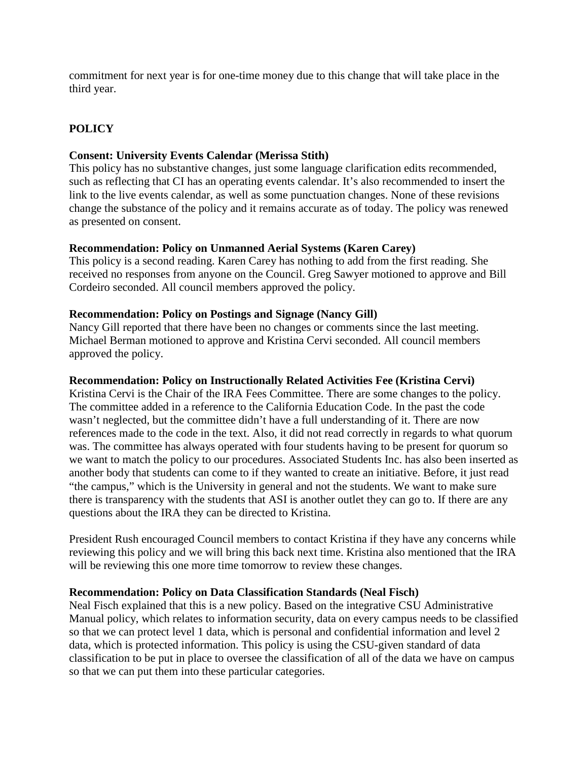commitment for next year is for one-time money due to this change that will take place in the third year.

# **POLICY**

### **Consent: University Events Calendar (Merissa Stith)**

This policy has no substantive changes, just some language clarification edits recommended, such as reflecting that CI has an operating events calendar. It's also recommended to insert the link to the live events calendar, as well as some punctuation changes. None of these revisions change the substance of the policy and it remains accurate as of today. The policy was renewed as presented on consent.

### **Recommendation: Policy on Unmanned Aerial Systems (Karen Carey)**

This policy is a second reading. Karen Carey has nothing to add from the first reading. She received no responses from anyone on the Council. Greg Sawyer motioned to approve and Bill Cordeiro seconded. All council members approved the policy.

### **Recommendation: Policy on Postings and Signage (Nancy Gill)**

Nancy Gill reported that there have been no changes or comments since the last meeting. Michael Berman motioned to approve and Kristina Cervi seconded. All council members approved the policy.

### **Recommendation: Policy on Instructionally Related Activities Fee (Kristina Cervi)**

Kristina Cervi is the Chair of the IRA Fees Committee. There are some changes to the policy. The committee added in a reference to the California Education Code. In the past the code wasn't neglected, but the committee didn't have a full understanding of it. There are now references made to the code in the text. Also, it did not read correctly in regards to what quorum was. The committee has always operated with four students having to be present for quorum so we want to match the policy to our procedures. Associated Students Inc. has also been inserted as another body that students can come to if they wanted to create an initiative. Before, it just read "the campus," which is the University in general and not the students. We want to make sure there is transparency with the students that ASI is another outlet they can go to. If there are any questions about the IRA they can be directed to Kristina.

President Rush encouraged Council members to contact Kristina if they have any concerns while reviewing this policy and we will bring this back next time. Kristina also mentioned that the IRA will be reviewing this one more time tomorrow to review these changes.

#### **Recommendation: Policy on Data Classification Standards (Neal Fisch)**

Neal Fisch explained that this is a new policy. Based on the integrative CSU Administrative Manual policy, which relates to information security, data on every campus needs to be classified so that we can protect level 1 data, which is personal and confidential information and level 2 data, which is protected information. This policy is using the CSU-given standard of data classification to be put in place to oversee the classification of all of the data we have on campus so that we can put them into these particular categories.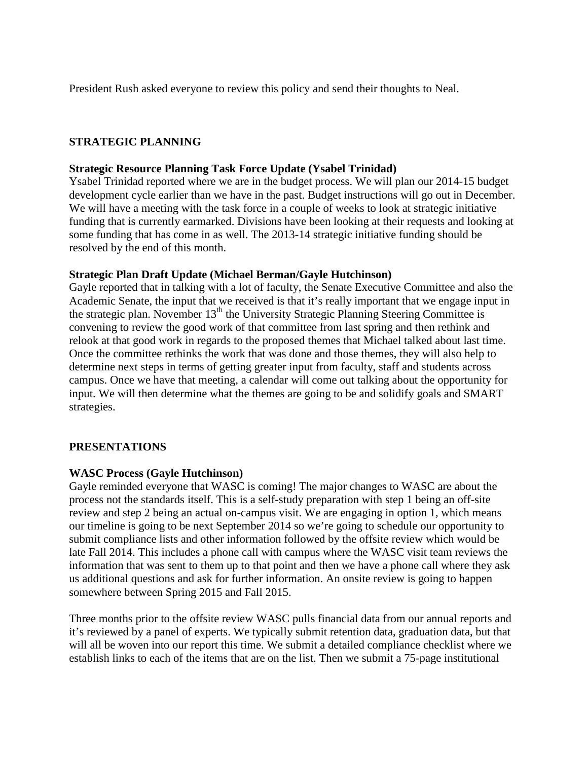President Rush asked everyone to review this policy and send their thoughts to Neal.

# **STRATEGIC PLANNING**

### **Strategic Resource Planning Task Force Update (Ysabel Trinidad)**

Ysabel Trinidad reported where we are in the budget process. We will plan our 2014-15 budget development cycle earlier than we have in the past. Budget instructions will go out in December. We will have a meeting with the task force in a couple of weeks to look at strategic initiative funding that is currently earmarked. Divisions have been looking at their requests and looking at some funding that has come in as well. The 2013-14 strategic initiative funding should be resolved by the end of this month.

### **Strategic Plan Draft Update (Michael Berman/Gayle Hutchinson)**

Gayle reported that in talking with a lot of faculty, the Senate Executive Committee and also the Academic Senate, the input that we received is that it's really important that we engage input in the strategic plan. November  $13<sup>th</sup>$  the University Strategic Planning Steering Committee is convening to review the good work of that committee from last spring and then rethink and relook at that good work in regards to the proposed themes that Michael talked about last time. Once the committee rethinks the work that was done and those themes, they will also help to determine next steps in terms of getting greater input from faculty, staff and students across campus. Once we have that meeting, a calendar will come out talking about the opportunity for input. We will then determine what the themes are going to be and solidify goals and SMART strategies.

### **PRESENTATIONS**

### **WASC Process (Gayle Hutchinson)**

Gayle reminded everyone that WASC is coming! The major changes to WASC are about the process not the standards itself. This is a self-study preparation with step 1 being an off-site review and step 2 being an actual on-campus visit. We are engaging in option 1, which means our timeline is going to be next September 2014 so we're going to schedule our opportunity to submit compliance lists and other information followed by the offsite review which would be late Fall 2014. This includes a phone call with campus where the WASC visit team reviews the information that was sent to them up to that point and then we have a phone call where they ask us additional questions and ask for further information. An onsite review is going to happen somewhere between Spring 2015 and Fall 2015.

Three months prior to the offsite review WASC pulls financial data from our annual reports and it's reviewed by a panel of experts. We typically submit retention data, graduation data, but that will all be woven into our report this time. We submit a detailed compliance checklist where we establish links to each of the items that are on the list. Then we submit a 75-page institutional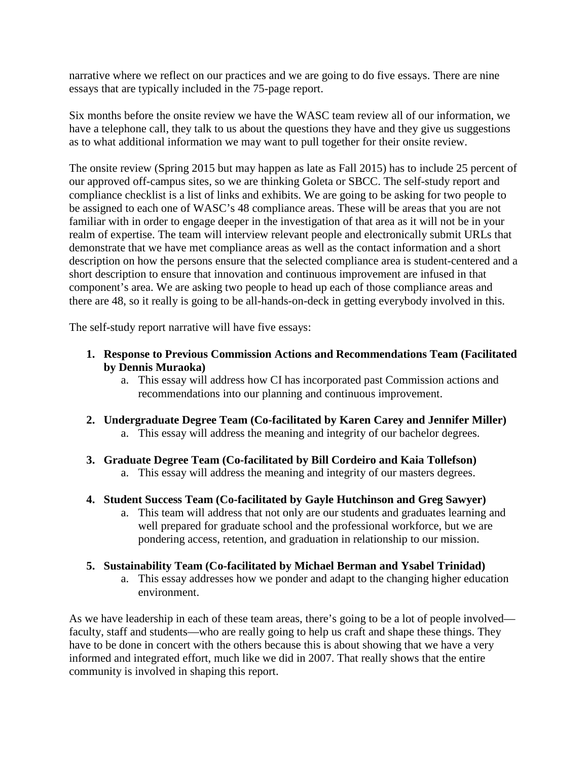narrative where we reflect on our practices and we are going to do five essays. There are nine essays that are typically included in the 75-page report.

Six months before the onsite review we have the WASC team review all of our information, we have a telephone call, they talk to us about the questions they have and they give us suggestions as to what additional information we may want to pull together for their onsite review.

The onsite review (Spring 2015 but may happen as late as Fall 2015) has to include 25 percent of our approved off-campus sites, so we are thinking Goleta or SBCC. The self-study report and compliance checklist is a list of links and exhibits. We are going to be asking for two people to be assigned to each one of WASC's 48 compliance areas. These will be areas that you are not familiar with in order to engage deeper in the investigation of that area as it will not be in your realm of expertise. The team will interview relevant people and electronically submit URLs that demonstrate that we have met compliance areas as well as the contact information and a short description on how the persons ensure that the selected compliance area is student-centered and a short description to ensure that innovation and continuous improvement are infused in that component's area. We are asking two people to head up each of those compliance areas and there are 48, so it really is going to be all-hands-on-deck in getting everybody involved in this.

The self-study report narrative will have five essays:

- **1. Response to Previous Commission Actions and Recommendations Team (Facilitated by Dennis Muraoka)**
	- a. This essay will address how CI has incorporated past Commission actions and recommendations into our planning and continuous improvement.
- **2. Undergraduate Degree Team (Co-facilitated by Karen Carey and Jennifer Miller)** a. This essay will address the meaning and integrity of our bachelor degrees.
- **3. Graduate Degree Team (Co-facilitated by Bill Cordeiro and Kaia Tollefson)**
	- a. This essay will address the meaning and integrity of our masters degrees.
- **4. Student Success Team (Co-facilitated by Gayle Hutchinson and Greg Sawyer)**
	- a. This team will address that not only are our students and graduates learning and well prepared for graduate school and the professional workforce, but we are pondering access, retention, and graduation in relationship to our mission.

### **5. Sustainability Team (Co-facilitated by Michael Berman and Ysabel Trinidad)**

a. This essay addresses how we ponder and adapt to the changing higher education environment.

As we have leadership in each of these team areas, there's going to be a lot of people involved faculty, staff and students—who are really going to help us craft and shape these things. They have to be done in concert with the others because this is about showing that we have a very informed and integrated effort, much like we did in 2007. That really shows that the entire community is involved in shaping this report.